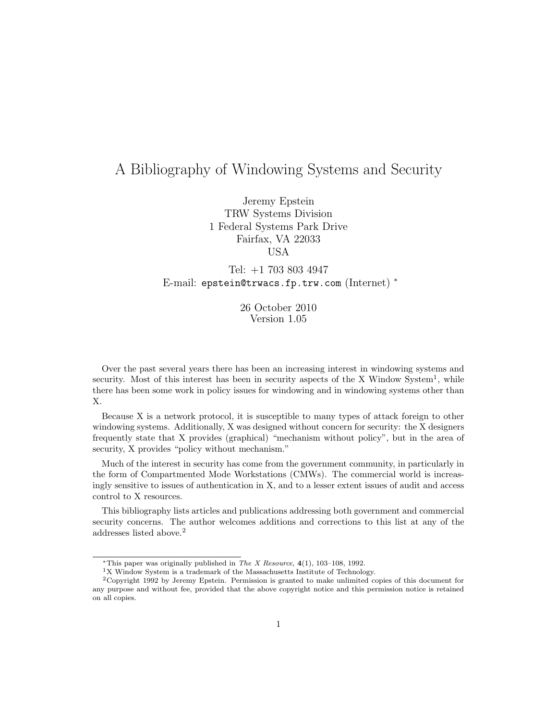# A Bibliography of Windowing Systems and Security

Jeremy Epstein TRW Systems Division 1 Federal Systems Park Drive Fairfax, VA 22033 USA

Tel: +1 703 803 4947 E-mail: epstein@trwacs.fp.trw.com (Internet) <sup>∗</sup>

> 26 October 2010 Version 1.05

Over the past several years there has been an increasing interest in windowing systems and security. Most of this interest has been in security aspects of the X Window System<sup>1</sup>, while there has been some work in policy issues for windowing and in windowing systems other than X.

Because X is a network protocol, it is susceptible to many types of attack foreign to other windowing systems. Additionally, X was designed without concern for security: the X designers frequently state that X provides (graphical) "mechanism without policy", but in the area of security, X provides "policy without mechanism."

Much of the interest in security has come from the government community, in particularly in the form of Compartmented Mode Workstations (CMWs). The commercial world is increasingly sensitive to issues of authentication in X, and to a lesser extent issues of audit and access control to X resources.

This bibliography lists articles and publications addressing both government and commercial security concerns. The author welcomes additions and corrections to this list at any of the addresses listed above.<sup>2</sup>

<sup>∗</sup>This paper was originally published in The X Resource, **4**(1), 103–108, 1992.

<sup>&</sup>lt;sup>1</sup>X Window System is a trademark of the Massachusetts Institute of Technology.

<sup>2</sup>Copyright 1992 by Jeremy Epstein. Permission is granted to make unlimited copies of this document for any purpose and without fee, provided that the above copyright notice and this permission notice is retained on all copies.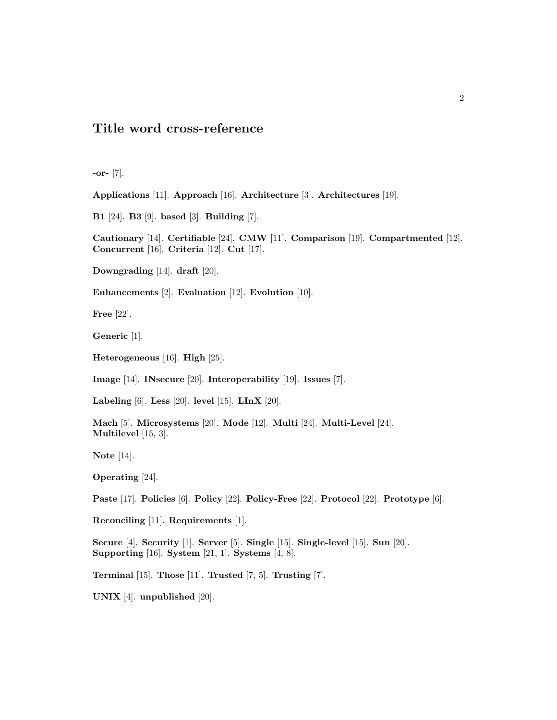## **Title word cross-reference**

**-or-** [7].

**Applications** [11]. **Approach** [16]. **Architecture** [3]. **Architectures** [19].

**B1** [24]. **B3** [9]. **based** [3]. **Building** [7].

**Cautionary** [14]. **Certifiable** [24]. **CMW** [11]. **Comparison** [19]. **Compartmented** [12]. **Concurrent** [16]. **Criteria** [12]. **Cut** [17].

**Downgrading** [14]. **draft** [20].

**Enhancements** [2]. **Evaluation** [12]. **Evolution** [10].

**Free** [22].

**Generic** [1].

**Heterogeneous** [16]. **High** [25].

**Image** [14]. **INsecure** [20]. **Interoperability** [19]. **Issues** [7].

**Labeling** [6]. **Less** [20]. **level** [15]. **LInX** [20].

**Mach** [5]. **Microsystems** [20]. **Mode** [12]. **Multi** [24]. **Multi-Level** [24]. **Multilevel** [15, 3].

**Note** [14].

**Operating** [24].

**Paste** [17]. **Policies** [6]. **Policy** [22]. **Policy-Free** [22]. **Protocol** [22]. **Prototype** [6].

**Reconciling** [11]. **Requirements** [1].

**Secure** [4]. **Security** [1]. **Server** [5]. **Single** [15]. **Single-level** [15]. **Sun** [20]. **Supporting** [16]. **System** [21, 1]. **Systems** [4, 8].

**Terminal** [15]. **Those** [11]. **Trusted** [7, 5]. **Trusting** [7].

**UNIX** [4]. **unpublished** [20].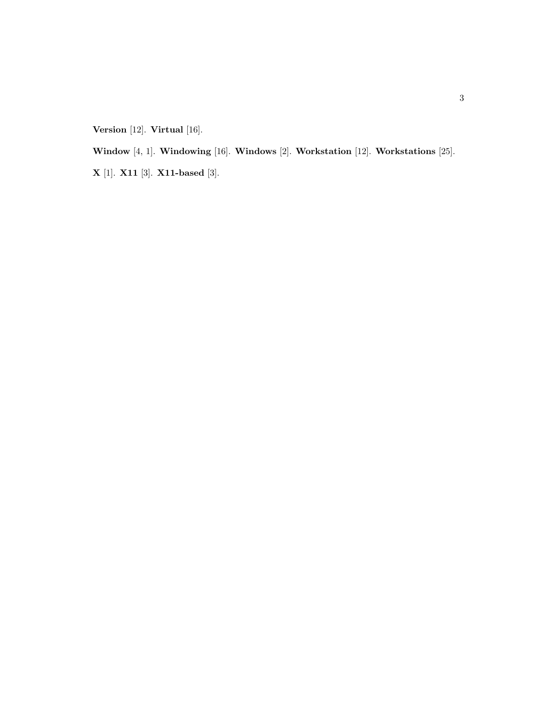**Version** [12]. **Virtual** [16].

**Window** [4, 1]. **Windowing** [16]. **Windows** [2]. **Workstation** [12]. **Workstations** [25].

**X** [1]. **X11** [3]. **X11-based** [3].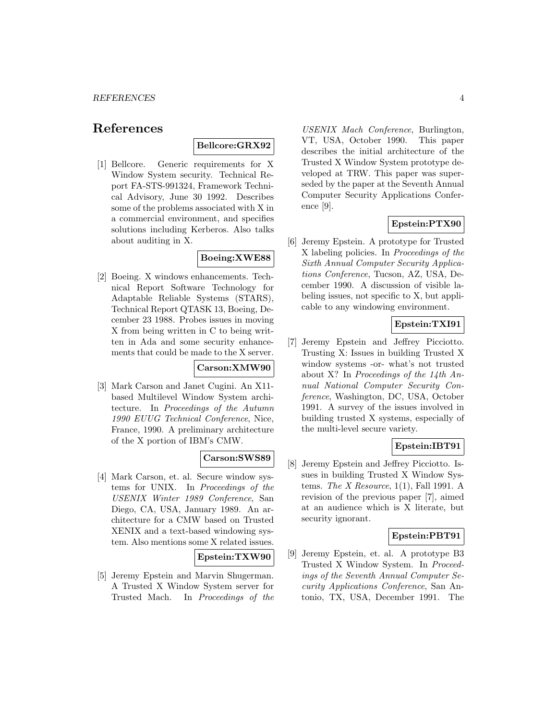## **References**

## **Bellcore:GRX92**

[1] Bellcore. Generic requirements for X Window System security. Technical Report FA-STS-991324, Framework Technical Advisory, June 30 1992. Describes some of the problems associated with X in a commercial environment, and specifies solutions including Kerberos. Also talks about auditing in X.

### **Boeing:XWE88**

[2] Boeing. X windows enhancements. Technical Report Software Technology for Adaptable Reliable Systems (STARS), Technical Report QTASK 13, Boeing, December 23 1988. Probes issues in moving X from being written in C to being written in Ada and some security enhancements that could be made to the X server.

#### **Carson:XMW90**

[3] Mark Carson and Janet Cugini. An X11 based Multilevel Window System architecture. In Proceedings of the Autumn 1990 EUUG Technical Conference, Nice, France, 1990. A preliminary architecture of the X portion of IBM's CMW.

#### **Carson:SWS89**

[4] Mark Carson, et. al. Secure window systems for UNIX. In Proceedings of the USENIX Winter 1989 Conference, San Diego, CA, USA, January 1989. An architecture for a CMW based on Trusted XENIX and a text-based windowing system. Also mentions some X related issues.

#### **Epstein:TXW90**

[5] Jeremy Epstein and Marvin Shugerman. A Trusted X Window System server for Trusted Mach. In Proceedings of the

USENIX Mach Conference, Burlington, VT, USA, October 1990. This paper describes the initial architecture of the Trusted X Window System prototype developed at TRW. This paper was superseded by the paper at the Seventh Annual Computer Security Applications Conference [9].

#### **Epstein:PTX90**

[6] Jeremy Epstein. A prototype for Trusted X labeling policies. In Proceedings of the Sixth Annual Computer Security Applications Conference, Tucson, AZ, USA, December 1990. A discussion of visible labeling issues, not specific to X, but applicable to any windowing environment.

#### **Epstein:TXI91**

[7] Jeremy Epstein and Jeffrey Picciotto. Trusting X: Issues in building Trusted X window systems -or- what's not trusted about X? In Proceedings of the 14th Annual National Computer Security Conference, Washington, DC, USA, October 1991. A survey of the issues involved in building trusted X systems, especially of the multi-level secure variety.

#### **Epstein:IBT91**

[8] Jeremy Epstein and Jeffrey Picciotto. Issues in building Trusted X Window Systems. The X Resource,  $1(1)$ , Fall 1991. A revision of the previous paper [7], aimed at an audience which is X literate, but security ignorant.

#### **Epstein:PBT91**

[9] Jeremy Epstein, et. al. A prototype B3 Trusted X Window System. In Proceedings of the Seventh Annual Computer Security Applications Conference, San Antonio, TX, USA, December 1991. The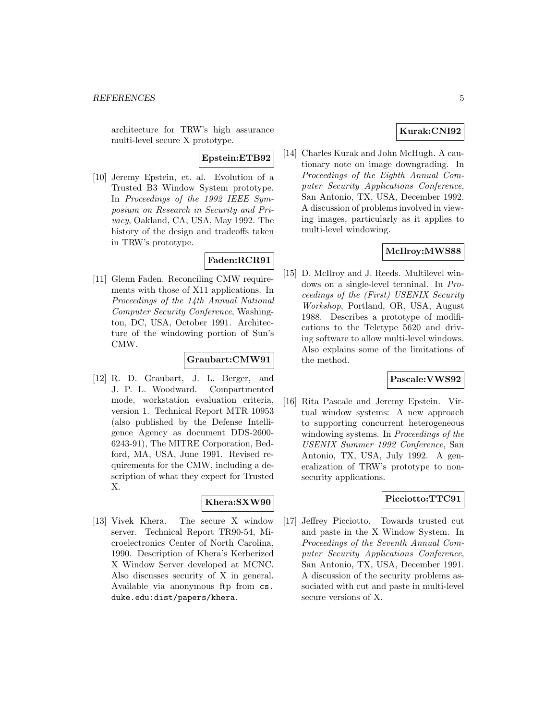architecture for TRW's high assurance multi-level secure X prototype.

**Epstein:ETB92**

[10] Jeremy Epstein, et. al. Evolution of a Trusted B3 Window System prototype. In Proceedings of the 1992 IEEE Symposium on Research in Security and Privacy, Oakland, CA, USA, May 1992. The history of the design and tradeoffs taken in TRW's prototype.

## **Faden:RCR91**

[11] Glenn Faden. Reconciling CMW requirements with those of X11 applications. In Proceedings of the 14th Annual National Computer Security Conference, Washington, DC, USA, October 1991. Architecture of the windowing portion of Sun's CMW.

#### **Graubart:CMW91**

[12] R. D. Graubart, J. L. Berger, and J. P. L. Woodward. Compartmented mode, workstation evaluation criteria, version 1. Technical Report MTR 10953 (also published by the Defense Intelligence Agency as document DDS-2600- 6243-91), The MITRE Corporation, Bedford, MA, USA, June 1991. Revised requirements for the CMW, including a description of what they expect for Trusted X.

#### **Khera:SXW90**

[13] Vivek Khera. The secure X window server. Technical Report TR90-54, Microelectronics Center of North Carolina, 1990. Description of Khera's Kerberized X Window Server developed at MCNC. Also discusses security of X in general. Available via anonymous ftp from cs. duke.edu:dist/papers/khera.

#### **Kurak:CNI92**

[14] Charles Kurak and John McHugh. A cautionary note on image downgrading. In Proceedings of the Eighth Annual Computer Security Applications Conference, San Antonio, TX, USA, December 1992. A discussion of problems involved in viewing images, particularly as it applies to multi-level windowing.

#### **McIlroy:MWS88**

[15] D. McIlroy and J. Reeds. Multilevel windows on a single-level terminal. In Proceedings of the (First) USENIX Security Workshop, Portland, OR, USA, August 1988. Describes a prototype of modifications to the Teletype 5620 and driving software to allow multi-level windows. Also explains some of the limitations of the method.

#### **Pascale:VWS92**

[16] Rita Pascale and Jeremy Epstein. Virtual window systems: A new approach to supporting concurrent heterogeneous windowing systems. In *Proceedings of the* USENIX Summer 1992 Conference, San Antonio, TX, USA, July 1992. A generalization of TRW's prototype to nonsecurity applications.

#### **Picciotto:TTC91**

[17] Jeffrey Picciotto. Towards trusted cut and paste in the X Window System. In Proceedings of the Seventh Annual Computer Security Applications Conference, San Antonio, TX, USA, December 1991. A discussion of the security problems associated with cut and paste in multi-level secure versions of X.